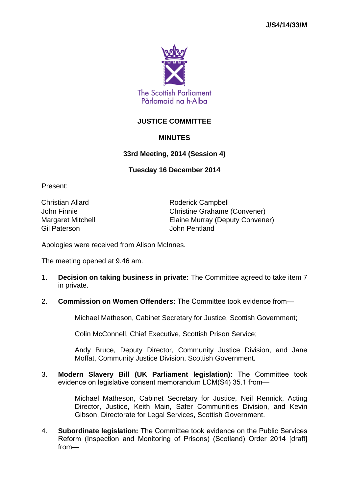

## **JUSTICE COMMITTEE**

## **MINUTES**

## **33rd Meeting, 2014 (Session 4)**

## **Tuesday 16 December 2014**

Present:

Gil Paterson John Pentland

Christian Allard **Roderick Campbell** John Finnie Christine Grahame (Convener) Margaret Mitchell Elaine Murray (Deputy Convener)

Apologies were received from Alison McInnes.

The meeting opened at 9.46 am.

- 1. **Decision on taking business in private:** The Committee agreed to take item 7 in private.
- 2. **Commission on Women Offenders:** The Committee took evidence from—

Michael Matheson, Cabinet Secretary for Justice, Scottish Government;

Colin McConnell, Chief Executive, Scottish Prison Service;

Andy Bruce, Deputy Director, Community Justice Division, and Jane Moffat, Community Justice Division, Scottish Government.

3. **Modern Slavery Bill (UK Parliament legislation):** The Committee took evidence on legislative consent memorandum LCM(S4) 35.1 from—

> Michael Matheson, Cabinet Secretary for Justice, Neil Rennick, Acting Director, Justice, Keith Main, Safer Communities Division, and Kevin Gibson, Directorate for Legal Services, Scottish Government.

4. **Subordinate legislation:** The Committee took evidence on the Public Services Reform (Inspection and Monitoring of Prisons) (Scotland) Order 2014 [draft] from